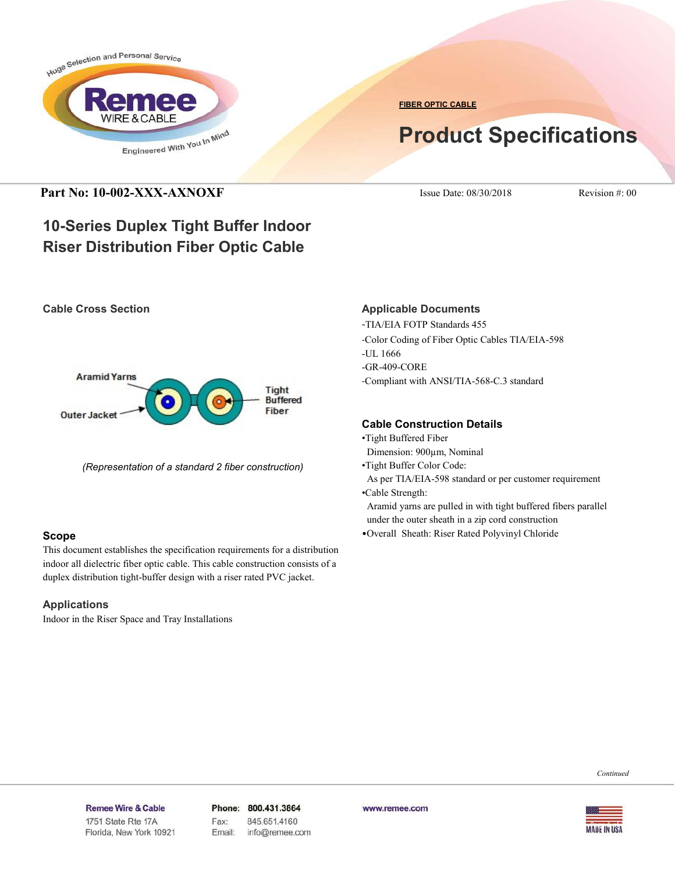

**FIBER OPTIC CABLE**

# **Product Specifications**

# **Part No: 10-002-XXX-AXNOXF** ISSUE Date: 08/30/2018 Revision #: 00

# **10-Series Duplex Tight Buffer Indoor Riser Distribution Fiber Optic Cable**

#### **Cable Cross Section**



*(Representation of a standard 2 fiber construction)*

#### **Scope**

This document establishes the specification requirements for a distribution indoor all dielectric fiber optic cable. This cable construction consists of a duplex distribution tight-buffer design with a riser rated PVC jacket.

## **Applications**

Indoor in the Riser Space and Tray Installations

## **Applicable Documents**

-TIA/EIA FOTP Standards 455

-Color Coding of Fiber Optic Cables TIA/EIA-598

-UL 1666

-GR-409-CORE

-Compliant with ANSI/TIA-568-C.3 standard

## **Cable Construction Details**

- •Tight Buffered Fiber
- Dimension: 900µm, Nominal
- •Tight Buffer Color Code:

As per TIA/EIA-598 standard or per customer requirement

- •Cable Strength: Aramid yarns are pulled in with tight buffered fibers parallel under the outer sheath in a zip cord construction
- •Overall Sheath: Riser Rated Polyvinyl Chloride

*Continued*

Remee Wire & Cable Issue No.: 05

Florida, New York 10921

Phone: 800.431.3864 Fax: 845.651.4160 Email: info@remee.com www.remee.com

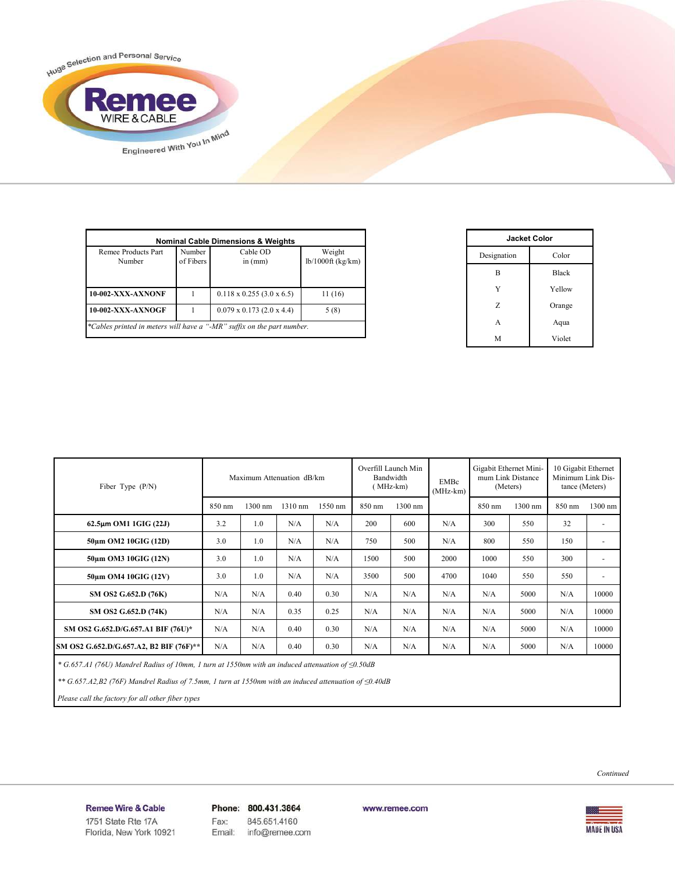

| Remee Products Part<br>Number | Number<br>of Fibers | Cable OD<br>in $(mm)$            | Weight<br>$lb/1000ft$ (kg/km) |  |
|-------------------------------|---------------------|----------------------------------|-------------------------------|--|
| 10-002-XXX-AXNONF             |                     | $0.118 \times 0.255$ (3.0 x 6.5) | 11(16)                        |  |
| 10-002-XXX-AXNOGF             |                     | $0.079 \times 0.173$ (2.0 x 4.4) | 5(8)                          |  |

| <b>Jacket Color</b> |              |  |  |  |
|---------------------|--------------|--|--|--|
| Designation         | Color        |  |  |  |
| B                   | <b>Black</b> |  |  |  |
| Y                   | Yellow       |  |  |  |
| Z                   | Orange       |  |  |  |
| A                   | Aqua         |  |  |  |
| M                   | Violet       |  |  |  |

| Fiber Type $(P/N)$                      | Maximum Attenuation dB/km |         |         | Overfill Launch Min<br>Bandwidth<br>$(MHz-km)$ |        | EMBc<br>$(MHz-km)$ | Gigabit Ethernet Mini-<br>mum Link Distance<br>(Meters) |        | 10 Gigabit Ethernet<br>Minimum Link Dis-<br>tance (Meters) |        |         |
|-----------------------------------------|---------------------------|---------|---------|------------------------------------------------|--------|--------------------|---------------------------------------------------------|--------|------------------------------------------------------------|--------|---------|
|                                         | 850 nm                    | 1300 nm | 1310 nm | 1550 nm                                        | 850 nm | 1300 nm            |                                                         | 850 nm | 1300 nm                                                    | 850 nm | 1300 nm |
| 62.5µm OM1 1GIG (22J)                   | 3.2                       | 1.0     | N/A     | N/A                                            | 200    | 600                | N/A                                                     | 300    | 550                                                        | 32     | ٠       |
| 50um OM2 10GIG (12D)                    | 3.0                       | 1.0     | N/A     | N/A                                            | 750    | 500                | N/A                                                     | 800    | 550                                                        | 150    | ٠       |
| 50um OM3 10GIG (12N)                    | 3.0                       | 1.0     | N/A     | N/A                                            | 1500   | 500                | 2000                                                    | 1000   | 550                                                        | 300    | ٠       |
| 50um OM4 10GIG (12V)                    | 3.0                       | 1.0     | N/A     | N/A                                            | 3500   | 500                | 4700                                                    | 1040   | 550                                                        | 550    | ٠       |
| SM OS2 G.652.D (76K)                    | N/A                       | N/A     | 0.40    | 0.30                                           | N/A    | N/A                | N/A                                                     | N/A    | 5000                                                       | N/A    | 10000   |
| SM OS2 G.652.D (74K)                    | N/A                       | N/A     | 0.35    | 0.25                                           | N/A    | N/A                | N/A                                                     | N/A    | 5000                                                       | N/A    | 10000   |
| SM OS2 G.652.D/G.657.A1 BIF (76U)*      | N/A                       | N/A     | 0.40    | 0.30                                           | N/A    | N/A                | N/A                                                     | N/A    | 5000                                                       | N/A    | 10000   |
| SM OS2 G.652.D/G.657.A2, B2 BIF (76F)** | N/A                       | N/A     | 0.40    | 0.30                                           | N/A    | N/A                | N/A                                                     | N/A    | 5000                                                       | N/A    | 10000   |

 *\* G.657.A1 (76U) Mandrel Radius of 10mm, 1 turn at 1550nm with an induced attenuation of ≤0.50dB*

 *\*\* G.657.A2,B2 (76F) Mandrel Radius of 7.5mm, 1 turn at 1550nm with an induced attenuation of ≤0.40dB*

 *Please call the factory for all other fiber types*



Remee Wire & Cable Issue No.: 05

Florida, New York 10921

Phone: 800.431.3864 Fax: 845.651.4160 info@remee.com Email:

www.remee.com